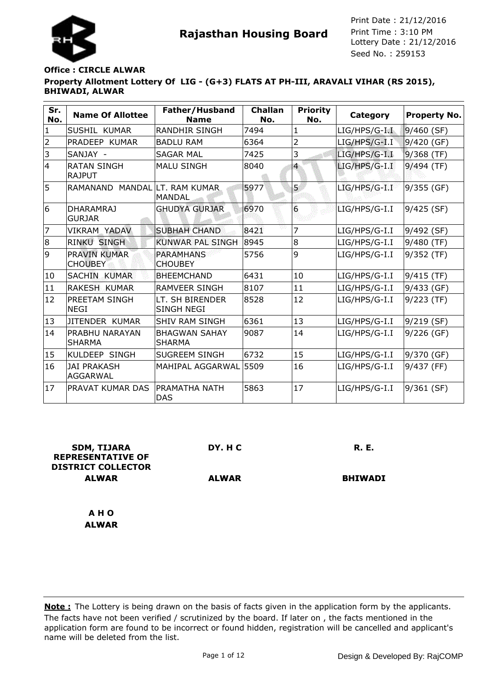



Seed No. : 259153 Print Date : 21/12/2016 Print Time : 3:10 PM

## **Property Allotment Lottery Of LIG - (G+3) FLATS AT PH-III, ARAVALI VIHAR (RS 2015), BHIWADI, ALWAR Office : CIRCLE ALWAR**

| Sr.<br>No.     | <b>Name Of Allottee</b>               | Father/Husband<br><b>Name</b>         | <b>Challan</b><br>No. | <b>Priority</b><br>No. | Category         | Property No. |
|----------------|---------------------------------------|---------------------------------------|-----------------------|------------------------|------------------|--------------|
| $\mathbf{1}$   | SUSHIL KUMAR                          | <b>RANDHIR SINGH</b>                  | 7494                  | $\mathbf{1}$           | $LIG/HPS/G-I.I.$ | $9/460$ (SF) |
| $\overline{2}$ | PRADEEP KUMAR                         | <b>BADLU RAM</b>                      | 6364                  | $\overline{2}$         | LIG/HPS/G-I.I    | $9/420$ (GF) |
| $\overline{3}$ | SANJAY -                              | <b>SAGAR MAL</b>                      | 7425                  | 3                      | LIG/HPS/G-I.I    | $9/368$ (TF) |
| 4              | <b>RATAN SINGH</b><br><b>RAJPUT</b>   | <b>MALU SINGH</b>                     | 8040                  | $\overline{4}$         | LIG/HPS/G-I.I    | 9/494 (TF)   |
| 5              | RAMANAND MANDALILT, RAM KUMAR         | MANDAL                                | 5977                  | $\overline{5}$         | $LIG/HPS/G-I.I$  | $9/355$ (GF) |
| 6              | DHARAMRA1<br><b>GURJAR</b>            | <b>GHUDYA GURJAR</b>                  | 6970                  | $6\phantom{1}6$        | LIG/HPS/G-I.I    | 9/425 (SF)   |
| 7              | VIKRAM YADAV                          | <b>SUBHAH CHAND</b>                   | 8421                  | 7                      | LIG/HPS/G-I.I    | 9/492 (SF)   |
| 8              | <b>RINKU SINGH</b>                    | KUNWAR PAL SINGH                      | 8945                  | 8                      | LIG/HPS/G-I.I    | 9/480 (TF)   |
| 9              | <b>PRAVIN KUMAR</b><br><b>CHOUBEY</b> | <b>PARAMHANS</b><br><b>CHOUBEY</b>    | 5756                  | 9                      | LIG/HPS/G-I.I    | $9/352$ (TF) |
| 10             | <b>SACHIN KUMAR</b>                   | <b>BHEEMCHAND</b>                     | 6431                  | 10                     | LIG/HPS/G-I.I    | $9/415$ (TF) |
| 11             | RAKESH KUMAR                          | <b>RAMVEER SINGH</b>                  | 8107                  | 11                     | LIG/HPS/G-I.I    | 9/433 (GF)   |
| 12             | <b>PREETAM SINGH</b><br><b>NEGI</b>   | LT. SH BIRENDER<br>SINGH NEGI         | 8528                  | 12                     | LIG/HPS/G-I.I    | $9/223$ (TF) |
| 13             | JITENDER KUMAR                        | <b>SHIV RAM SINGH</b>                 | 6361                  | 13                     | LIG/HPS/G-I.I    | 9/219 (SF)   |
| 14             | PRABHU NARAYAN<br><b>SHARMA</b>       | <b>BHAGWAN SAHAY</b><br><b>SHARMA</b> | 9087                  | 14                     | LIG/HPS/G-I.I    | $9/226$ (GF) |
| 15             | KULDEEP SINGH                         | <b>SUGREEM SINGH</b>                  | 6732                  | 15                     | $LIG/HPS/G-I.I$  | 9/370 (GF)   |
| 16             | <b>JAI PRAKASH</b><br><b>AGGARWAL</b> | MAHIPAL AGGARWAL                      | 5509                  | 16                     | LIG/HPS/G-I.I    | 9/437 (FF)   |
| 17             | PRAVAT KUMAR DAS                      | <b>IPRAMATHA NATH</b><br><b>DAS</b>   | 5863                  | 17                     | LIG/HPS/G-I.I    | 9/361 (SF)   |

| <b>SDM, TIJARA</b><br><b>REPRESENTATIVE OF</b><br><b>DISTRICT COLLECTOR</b> | DY. H C      | <b>R. E.</b>   |
|-----------------------------------------------------------------------------|--------------|----------------|
| <b>ALWAR</b>                                                                | <b>ALWAR</b> | <b>BHIWADI</b> |
| A H O                                                                       |              |                |
| <b>ALWAR</b>                                                                |              |                |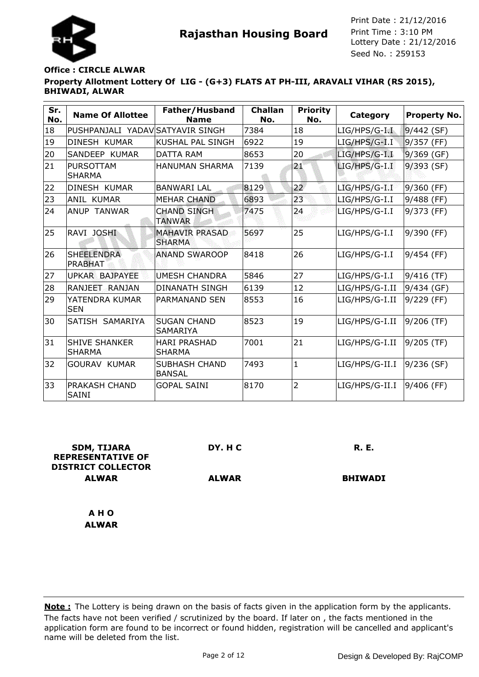



Seed No. : 259153 Print Date : 21/12/2016 Print Time : 3:10 PM

## **Property Allotment Lottery Of LIG - (G+3) FLATS AT PH-III, ARAVALI VIHAR (RS 2015), BHIWADI, ALWAR Office : CIRCLE ALWAR**

| Sr.<br>No. | <b>Name Of Allottee</b>               | Father/Husband<br><b>Name</b>          | <b>Challan</b><br>No. | <b>Priority</b><br>No. | <b>Category</b> | <b>Property No.</b> |
|------------|---------------------------------------|----------------------------------------|-----------------------|------------------------|-----------------|---------------------|
| 18         | PUSHPANJALI YADAV SATYAVIR SINGH      |                                        | 7384                  | 18                     | LIG/HPS/G-I.I   | $9/442$ (SF)        |
| 19         | DINESH KUMAR                          | KUSHAL PAL SINGH                       | 6922                  | 19                     | $LIG/HPS/G-I.I$ | 9/357 (FF)          |
| 20         | SANDEEP KUMAR                         | <b>DATTA RAM</b>                       | 8653                  | 20                     | LIG/HPS/G-I.I   | 9/369 (GF)          |
| 21         | PURSOTTAM<br><b>SHARMA</b>            | <b>HANUMAN SHARMA</b>                  | 7139                  | 21                     | LIG/HPS/G-I.I   | $9/393$ (SF)        |
| 22         | DINESH KUMAR                          | <b>BANWARI LAL</b>                     | 8129                  | 22                     | $LIG/HPS/G-I.I$ | $9/360$ (FF)        |
| 23         | ANIL KUMAR                            | <b>MEHAR CHAND</b>                     | 6893                  | 23                     | LIG/HPS/G-I.I   | 9/488 (FF)          |
| 24         | <b>ANUP TANWAR</b>                    | <b>CHAND SINGH</b><br><b>TANWAR</b>    | 7475                  | 24                     | LIG/HPS/G-I.I   | 9/373 (FF)          |
| 25         | RAVI JOSHI                            | <b>MAHAVIR PRASAD</b><br><b>SHARMA</b> | 5697                  | 25                     | LIG/HPS/G-I.I   | 9/390 (FF)          |
| 26         | <b>SHEELENDRA</b><br><b>PRABHAT</b>   | <b>ANAND SWAROOP</b>                   | 8418                  | 26                     | LIG/HPS/G-I.I   | 9/454 (FF)          |
| 27         | UPKAR BAJPAYEE                        | <b>UMESH CHANDRA</b>                   | 5846                  | 27                     | LIG/HPS/G-I.I   | $9/416$ (TF)        |
| 28         | RANJEET RANJAN                        | <b>DINANATH SINGH</b>                  | 6139                  | 12                     | LIG/HPS/G-I.II  | 9/434 (GF)          |
| 29         | YATENDRA KUMAR<br><b>SEN</b>          | PARMANAND SEN                          | 8553                  | 16                     | LIG/HPS/G-I.II  | 9/229 (FF)          |
| 30         | SATISH SAMARIYA                       | <b>SUGAN CHAND</b><br><b>SAMARIYA</b>  | 8523                  | 19                     | LIG/HPS/G-I.II  | 9/206 (TF)          |
| 31         | <b>SHIVE SHANKER</b><br><b>SHARMA</b> | <b>HARI PRASHAD</b><br><b>SHARMA</b>   | 7001                  | 21                     | LIG/HPS/G-I.II  | 9/205 (TF)          |
| 32         | <b>GOURAV KUMAR</b>                   | SUBHASH CHAND<br><b>BANSAL</b>         | 7493                  | $\mathbf{1}$           | LIG/HPS/G-II.I  | 9/236 (SF)          |
| 33         | IPRAKASH CHAND<br>SAINI               | <b>GOPAL SAINI</b>                     | 8170                  | $\overline{2}$         | LIG/HPS/G-II.I  | 9/406 (FF)          |

| <b>SDM, TIJARA</b><br><b>REPRESENTATIVE OF</b><br><b>DISTRICT COLLECTOR</b> | DY. H C      | <b>R. E.</b>   |
|-----------------------------------------------------------------------------|--------------|----------------|
| <b>ALWAR</b>                                                                | <b>ALWAR</b> | <b>BHIWADI</b> |
|                                                                             |              |                |
| A H O                                                                       |              |                |
| <b>ALWAR</b>                                                                |              |                |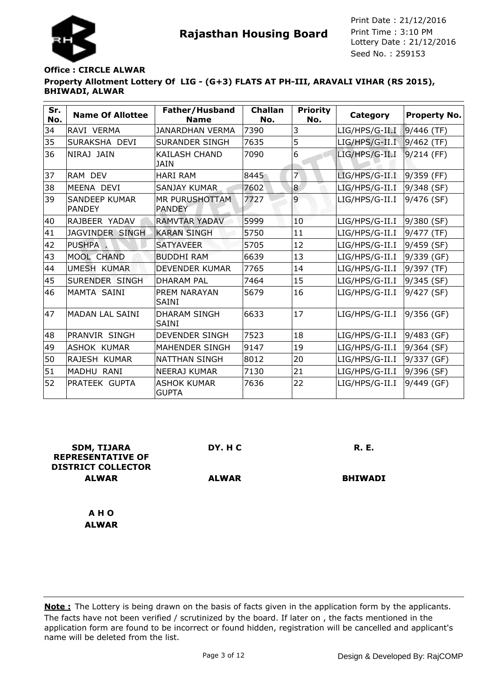

### **Property Allotment Lottery Of LIG - (G+3) FLATS AT PH-III, ARAVALI VIHAR (RS 2015), BHIWADI, ALWAR Office : CIRCLE ALWAR**

| Sr.<br>No. | <b>Name Of Allottee</b>               | Father/Husband<br><b>Name</b>       | <b>Challan</b><br>No. | <b>Priority</b><br>No. | Category         | <b>Property No.</b> |
|------------|---------------------------------------|-------------------------------------|-----------------------|------------------------|------------------|---------------------|
| 34         | RAVI VERMA                            | <b>JANARDHAN VERMA</b>              | 7390                  | 3                      | LIG/HPS/G-II I   | $9/446$ (TF)        |
| 35         | SURAKSHA DEVI                         | <b>SURANDER SINGH</b>               | 7635                  | 5                      | LIG/HPS/G-II.I   | $9/462$ (TF)        |
| 36         | NIRAJ JAIN                            | <b>KAILASH CHAND</b><br><b>JAIN</b> | 7090                  | 6                      | LIG/HPS/G-II.I   | $9/214$ (FF)        |
| 37         | RAM DEV                               | <b>HARI RAM</b>                     | 8445                  | 7                      | LIG/HPS/G-II.I   | $9/359$ (FF)        |
| 38         | MEENA DEVI                            | <b>SANJAY KUMAR</b>                 | 7602                  | 8                      | LIG/HPS/G-II.I   | $9/348$ (SF)        |
| 39         | <b>SANDEEP KUMAR</b><br><b>PANDEY</b> | MR PURUSHOTTAM<br><b>PANDEY</b>     | 7727                  | 9                      | $LIG/HPS/G-II.I$ | 9/476 (SF)          |
| 40         | RAJBEER YADAV                         | <b>RAMVTAR YADAV</b>                | 5999                  | 10                     | LIG/HPS/G-II.I   | $ 9/380$ (SF)       |
| 41         | JAGVINDER SINGH                       | <b>KARAN SINGH</b>                  | 5750                  | 11                     | LIG/HPS/G-II.I   | 9/477 (TF)          |
| 42         | <b>PUSHPA</b>                         | <b>SATYAVEER</b>                    | 5705                  | 12                     | LIG/HPS/G-II.I   | 9/459 (SF)          |
| 43         | MOOL CHAND                            | <b>BUDDHI RAM</b>                   | 6639                  | 13                     | LIG/HPS/G-II.I   | 9/339 (GF)          |
| 44         | <b>UMESH KUMAR</b>                    | <b>DEVENDER KUMAR</b>               | 7765                  | 14                     | LIG/HPS/G-II.I   | 9/397 (TF)          |
| 45         | <b>SURENDER SINGH</b>                 | <b>DHARAM PAL</b>                   | 7464                  | 15                     | LIG/HPS/G-II.I   | 9/345 (SF)          |
| 46         | MAMTA SAINI                           | PREM NARAYAN<br><b>SAINI</b>        | 5679                  | 16                     | LIG/HPS/G-II.I   | 9/427 (SF)          |
| 47         | MADAN LAL SAINI                       | <b>DHARAM SINGH</b><br><b>SAINI</b> | 6633                  | 17                     | LIG/HPS/G-II.I   | 9/356 (GF)          |
| 48         | PRANVIR SINGH                         | <b>DEVENDER SINGH</b>               | 7523                  | 18                     | LIG/HPS/G-II.I   | 9/483 (GF)          |
| 49         | <b>ASHOK KUMAR</b>                    | <b>MAHENDER SINGH</b>               | 9147                  | 19                     | LIG/HPS/G-II.I   | 9/364 (SF)          |
| 50         | RAJESH KUMAR                          | <b>NATTHAN SINGH</b>                | 8012                  | 20                     | LIG/HPS/G-II.I   | 9/337 (GF)          |
| 51         | MADHU RANI                            | <b>NEERAJ KUMAR</b>                 | 7130                  | 21                     | LIG/HPS/G-II.I   | 9/396 (SF)          |
| 52         | PRATEEK GUPTA                         | <b>ASHOK KUMAR</b><br><b>GUPTA</b>  | 7636                  | 22                     | LIG/HPS/G-II.I   | 9/449 (GF)          |

| <b>SDM, TIJARA</b><br><b>REPRESENTATIVE OF</b> | DY. H C      | <b>R. E.</b>   |
|------------------------------------------------|--------------|----------------|
| <b>DISTRICT COLLECTOR</b>                      |              |                |
| <b>ALWAR</b>                                   | <b>ALWAR</b> | <b>BHIWADI</b> |
| AHO                                            |              |                |
| <b>ALWAR</b>                                   |              |                |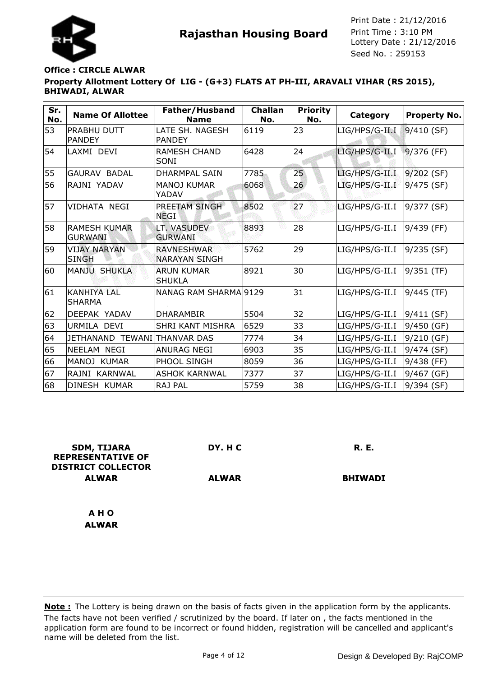

### **Property Allotment Lottery Of LIG - (G+3) FLATS AT PH-III, ARAVALI VIHAR (RS 2015), BHIWADI, ALWAR Office : CIRCLE ALWAR**

| Sr.<br>No. | <b>Name Of Allottee</b>               | Father/Husband<br><b>Name</b>             | <b>Challan</b><br>No. | <b>Priority</b><br>No. | Category       | <b>Property No.</b> |
|------------|---------------------------------------|-------------------------------------------|-----------------------|------------------------|----------------|---------------------|
| 53         | PRABHU DUTT<br><b>PANDEY</b>          | LATE SH. NAGESH<br><b>PANDEY</b>          | 6119                  | 23                     | LIG/HPS/G-II.I | $9/410$ (SF)        |
| 54         | LAXMI DEVI                            | RAMESH CHAND<br>SONI                      | 6428                  | 24                     | LIG/HPS/G-II.I | $9/376$ (FF)        |
| 55         | <b>GAURAV BADAL</b>                   | <b>DHARMPAL SAIN</b>                      | 7785                  | 25 <sub>2</sub>        | LIG/HPS/G-II.I | $9/202$ (SF)        |
| 56         | RAJNI YADAV                           | <b>MANOJ KUMAR</b><br>YADAV               | 6068                  | 26                     | LIG/HPS/G-II.I | 9/475 (SF)          |
| 57         | VIDHATA NEGI                          | PREETAM SINGH<br><b>NEGI</b>              | 8502                  | 27                     | LIG/HPS/G-II.I | 9/377 (SF)          |
| 58         | <b>RAMESH KUMAR</b><br><b>GURWANI</b> | LT. VASUDEV<br><b>GURWANI</b>             | 8893                  | 28                     | LIG/HPS/G-II.I | 9/439 (FF)          |
| 59         | <b>VIJAY NARYAN</b><br><b>SINGH</b>   | <b>RAVNESHWAR</b><br><b>NARAYAN SINGH</b> | 5762                  | 29                     | LIG/HPS/G-II.I | 9/235 (SF)          |
| 60         | MANJU SHUKLA                          | <b>ARUN KUMAR</b><br><b>SHUKLA</b>        | 8921                  | 30                     | LIG/HPS/G-II.I | 9/351 (TF)          |
| 61         | <b>KANHIYA LAL</b><br><b>SHARMA</b>   | NANAG RAM SHARMA 9129                     |                       | 31                     | LIG/HPS/G-II.I | 9/445 (TF)          |
| 62         | DEEPAK YADAV                          | <b>DHARAMBIR</b>                          | 5504                  | 32                     | LIG/HPS/G-II.I | 9/411 (SF)          |
| 63         | URMILA DEVI                           | <b>SHRI KANT MISHRA</b>                   | 6529                  | 33                     | LIG/HPS/G-II.I | 9/450 (GF)          |
| 64         | JETHANAND TEWANI THANVAR DAS          |                                           | 7774                  | 34                     | LIG/HPS/G-II.I | 9/210 (GF)          |
| 65         | NEELAM NEGI                           | ANURAG NEGI                               | 6903                  | 35                     | LIG/HPS/G-II.I | 9/474 (SF)          |
| 66         | MANOJ KUMAR                           | PHOOL SINGH                               | 8059                  | 36                     | LIG/HPS/G-II.I | 9/438 (FF)          |
| 67         | RAJNI KARNWAL                         | <b>ASHOK KARNWAL</b>                      | 7377                  | 37                     | LIG/HPS/G-II.I | 9/467 (GF)          |
| 68         | DINESH KUMAR                          | RAJ PAL                                   | 5759                  | 38                     | LIG/HPS/G-II.I | 9/394 (SF)          |

| <b>SDM, TIJARA</b><br><b>REPRESENTATIVE OF</b><br><b>DISTRICT COLLECTOR</b> | DY. H C      | <b>R. E.</b>   |
|-----------------------------------------------------------------------------|--------------|----------------|
| <b>ALWAR</b>                                                                | <b>ALWAR</b> | <b>BHIWADI</b> |
|                                                                             |              |                |
| A H O                                                                       |              |                |
| <b>ALWAR</b>                                                                |              |                |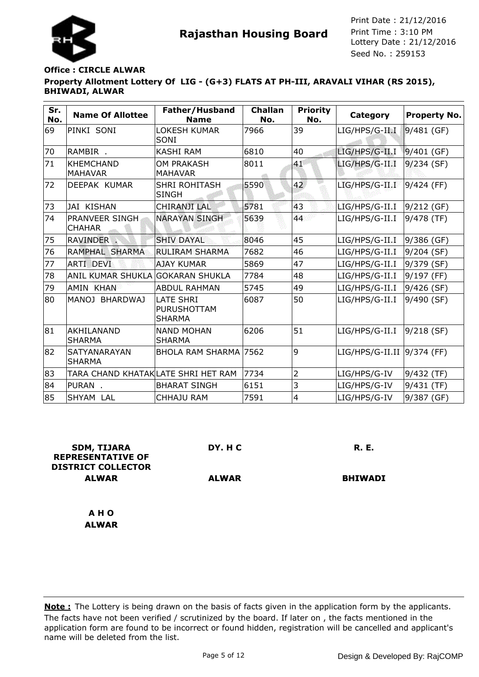

## **Property Allotment Lottery Of LIG - (G+3) FLATS AT PH-III, ARAVALI VIHAR (RS 2015), BHIWADI, ALWAR Office : CIRCLE ALWAR**

| Sr.<br>No. | <b>Name Of Allottee</b>              | Father/Husband<br><b>Name</b>                           | <b>Challan</b><br>No. | <b>Priority</b><br>No. | Category                     | <b>Property No.</b> |
|------------|--------------------------------------|---------------------------------------------------------|-----------------------|------------------------|------------------------------|---------------------|
| 69         | PINKI SONI                           | <b>LOKESH KUMAR</b><br>SONI                             | 7966                  | 39                     | LIG/HPS/G-II.I               | $9/481$ (GF)        |
| 70         | RAMBIR.                              | <b>KASHI RAM</b>                                        | 6810                  | 40                     | LIG/HPS/G-II.I               | $9/401$ (GF)        |
| 71         | <b>KHEMCHAND</b><br><b>MAHAVAR</b>   | <b>OM PRAKASH</b><br><b>MAHAVAR</b>                     | 8011                  | 41                     | LIG/HPS/G-II.I               | $9/234$ (SF)        |
| 72         | DEEPAK KUMAR                         | <b>SHRI ROHITASH</b><br><b>SINGH</b>                    | 5590                  | 42                     | LIG/HPS/G-II.I               | $9/424$ (FF)        |
| 73         | <b>JAI KISHAN</b>                    | <b>CHIRANJI LAL</b>                                     | 5781                  | 43                     | LIG/HPS/G-II.I               | 9/212 (GF)          |
| 74         | PRANVEER SINGH<br><b>CHAHAR</b>      | <b>NARAYAN SINGH</b>                                    | 5639                  | 44                     | LIG/HPS/G-II.I               | 9/478 (TF)          |
| 75         | <b>RAVINDER</b>                      | <b>SHIV DAYAL</b>                                       | 8046                  | 45                     | LIG/HPS/G-II.I               | 9/386 (GF)          |
| 76         | RAMPHAL SHARMA                       | <b>RULIRAM SHARMA</b>                                   | 7682                  | 46                     | LIG/HPS/G-II.I               | 9/204 (SF)          |
| 77         | <b>ARTI DEVI</b>                     | <b>AJAY KUMAR</b>                                       | 5869                  | 47                     | LIG/HPS/G-II.I               | 9/379 (SF)          |
| 78         | ANIL KUMAR SHUKLA GOKARAN SHUKLA     |                                                         | 7784                  | 48                     | LIG/HPS/G-II.I               | 9/197 (FF)          |
| 79         | <b>AMIN KHAN</b>                     | <b>ABDUL RAHMAN</b>                                     | 5745                  | 49                     | LIG/HPS/G-II.I               | $9/426$ (SF)        |
| 80         | MANOJ BHARDWAJ                       | <b>LATE SHRI</b><br><b>PURUSHOTTAM</b><br><b>SHARMA</b> | 6087                  | 50                     | LIG/HPS/G-II.I               | 9/490 (SF)          |
| 81         | AKHILANAND<br><b>SHARMA</b>          | <b>NAND MOHAN</b><br><b>SHARMA</b>                      | 6206                  | 51                     | LIG/HPS/G-II.I               | 9/218 (SF)          |
| 82         | <b>SATYANARAYAN</b><br><b>SHARMA</b> | BHOLA RAM SHARMA 7562                                   |                       | 9                      | $LIG/HPS/G-II.II$ 9/374 (FF) |                     |
| 83         | TARA CHAND KHATAK LATE SHRI HET RAM  |                                                         | 7734                  | $\overline{2}$         | LIG/HPS/G-IV                 | 9/432 (TF)          |
| 84         | PURAN.                               | <b>BHARAT SINGH</b>                                     | 6151                  | 3                      | LIG/HPS/G-IV                 | 9/431 (TF)          |
| 85         | SHYAM LAL                            | <b>CHHAJU RAM</b>                                       | 7591                  | $\overline{4}$         | LIG/HPS/G-IV                 | 9/387 (GF)          |

| <b>SDM, TIJARA</b><br><b>REPRESENTATIVE OF</b><br><b>DISTRICT COLLECTOR</b> | DY. H C      | <b>R. E.</b>   |
|-----------------------------------------------------------------------------|--------------|----------------|
| <b>ALWAR</b>                                                                | <b>ALWAR</b> | <b>BHIWADI</b> |
| A H O                                                                       |              |                |
| <b>ALWAR</b>                                                                |              |                |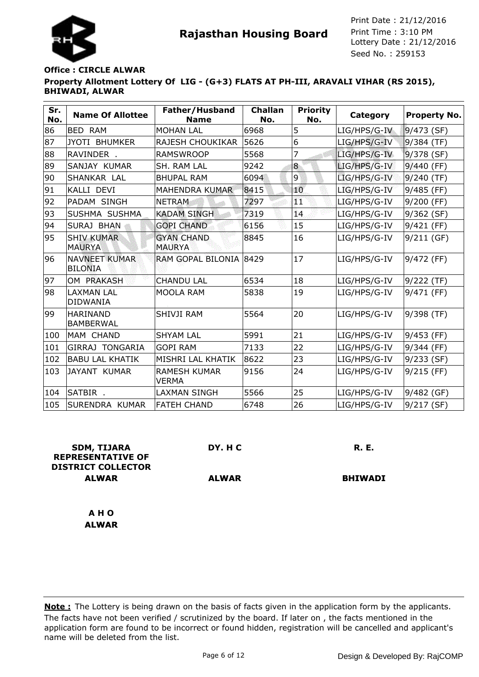

### **Property Allotment Lottery Of LIG - (G+3) FLATS AT PH-III, ARAVALI VIHAR (RS 2015), BHIWADI, ALWAR Office : CIRCLE ALWAR**

| Sr.<br>No. | <b>Name Of Allottee</b>                | Father/Husband<br><b>Name</b>       | <b>Challan</b><br>No. | <b>Priority</b><br>No. | Category     | <b>Property No.</b> |
|------------|----------------------------------------|-------------------------------------|-----------------------|------------------------|--------------|---------------------|
| 86         | <b>BED RAM</b>                         | <b>MOHAN LAL</b>                    | 6968                  | 5                      | LIG/HPS/G-IV | 9/473 (SF)          |
| 87         | JYOTI BHUMKER                          | RAJESH CHOUKIKAR                    | 5626                  | 6                      | LIG/HPS/G-IV | $9/384$ (TF)        |
| 88         | RAVINDER .                             | <b>RAMSWROOP</b>                    | 5568                  | 7                      | LIG/HPS/G-IV | 9/378 (SF)          |
| 89         | SANJAY KUMAR                           | SH. RAM LAL                         | 9242                  | 8                      | LIG/HPS/G-IV | $9/440$ (FF)        |
| 90         | SHANKAR LAL                            | <b>BHUPAL RAM</b>                   | 6094                  | $\overline{9}$         | LIG/HPS/G-IV | $9/240$ (TF)        |
| 91         | KALLI DEVI                             | <b>MAHENDRA KUMAR</b>               | 8415                  | 10                     | LIG/HPS/G-IV | 9/485 (FF)          |
| 92         | PADAM SINGH                            | <b>NETRAM</b>                       | 7297                  | T                      | LIG/HPS/G-IV | 9/200 (FF)          |
| 93         | SUSHMA SUSHMA                          | <b>KADAM SINGH</b>                  | 7319                  | 14                     | LIG/HPS/G-IV | 9/362 (SF)          |
| 94         | <b>SURAJ BHAN</b>                      | <b>GOPI CHAND</b>                   | 6156                  | 15                     | LIG/HPS/G-IV | $9/421$ (FF)        |
| 95         | <b>SHIV KUMAR</b><br><b>MAURYA</b>     | <b>GYAN CHAND</b><br><b>MAURYA</b>  | 8845                  | 16                     | LIG/HPS/G-IV | $9/211$ (GF)        |
| 96         | <b>NAVNEET KUMAR</b><br><b>BILONIA</b> | RAM GOPAL BILONIA 8429              |                       | 17                     | LIG/HPS/G-IV | 9/472 (FF)          |
| 97         | OM PRAKASH                             | <b>CHANDU LAL</b>                   | 6534                  | 18                     | LIG/HPS/G-IV | 9/222 (TF)          |
| 98         | <b>LAXMAN LAL</b><br><b>DIDWANIA</b>   | MOOLA RAM                           | 5838                  | 19                     | LIG/HPS/G-IV | 9/471 (FF)          |
| 99         | <b>HARINAND</b><br><b>BAMBERWAL</b>    | SHIVJI RAM                          | 5564                  | 20                     | LIG/HPS/G-IV | 9/398 (TF)          |
| 100        | MAM CHAND                              | <b>SHYAM LAL</b>                    | 5991                  | 21                     | LIG/HPS/G-IV | 9/453 (FF)          |
| 101        | <b>GIRRAJ TONGARIA</b>                 | <b>GOPI RAM</b>                     | 7133                  | 22                     | LIG/HPS/G-IV | 9/344 (FF)          |
| 102        | <b>BABU LAL KHATIK</b>                 | MISHRI LAL KHATIK                   | 8622                  | 23                     | LIG/HPS/G-IV | 9/233 (SF)          |
| 103        | JAYANT KUMAR                           | <b>RAMESH KUMAR</b><br><b>VERMA</b> | 9156                  | 24                     | LIG/HPS/G-IV | $9/215$ (FF)        |
| 104        | SATBIR.                                | <b>LAXMAN SINGH</b>                 | 5566                  | 25                     | LIG/HPS/G-IV | 9/482 (GF)          |
| 105        | SURENDRA KUMAR                         | <b>FATEH CHAND</b>                  | 6748                  | 26                     | LIG/HPS/G-IV | 9/217 (SF)          |

| <b>SDM, TIJARA</b><br><b>REPRESENTATIVE OF</b><br><b>DISTRICT COLLECTOR</b> | DY. HC       | <b>R. E.</b>   |
|-----------------------------------------------------------------------------|--------------|----------------|
| <b>ALWAR</b>                                                                | <b>ALWAR</b> | <b>BHIWADI</b> |
|                                                                             |              |                |
| A H O                                                                       |              |                |
| <b>ALWAR</b>                                                                |              |                |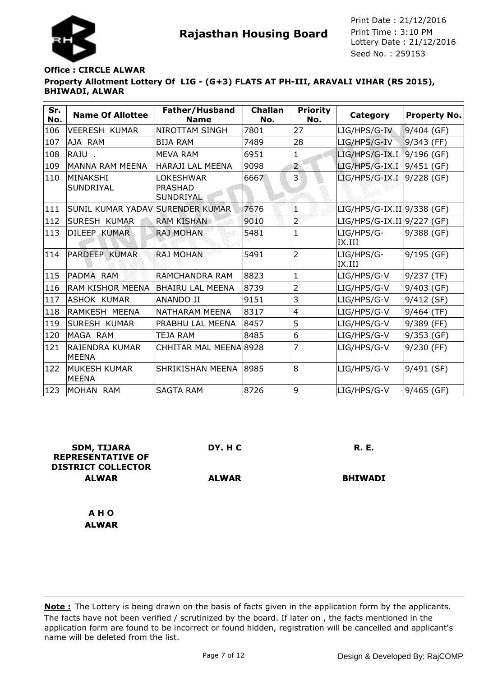

### **Property Allotment Lottery Of LIG - (G+3) FLATS AT PH-III, ARAVALI VIHAR (RS 2015), BHIWADI, ALWAR Office : CIRCLE ALWAR**

| Sr.<br>No. | <b>Name Of Allottee</b>          | Father/Husband<br><b>Name</b>                   | <b>Challan</b><br>No. | <b>Priority</b><br>No. | Category                    | <b>Property No.</b> |
|------------|----------------------------------|-------------------------------------------------|-----------------------|------------------------|-----------------------------|---------------------|
| 106        | <b>VEERESH KUMAR</b>             | NIROTTAM SINGH                                  | 7801                  | 27                     | LIG/HPS/G-IV                | 9/404 (GF)          |
| 107        | AJA RAM                          | <b>BIJA RAM</b>                                 | 7489                  | 28                     | LIG/HPS/G-IV                | $9/343$ (FF)        |
| 108        | RAJU.                            | <b>MEVA RAM</b>                                 | 6951                  | 1                      | LIG/HPS/G-IX.I              | $9/196$ (GF)        |
| 109        | IMANNA RAM MEENA                 | <b>HARAJI LAL MEENA</b>                         | 9098                  | $\overline{c}$         | LIG/HPS/G-IX.I              | $9/451$ (GF)        |
| 110        | MINAKSHI<br>SUNDRIYAL            | LOKESHWAR<br><b>PRASHAD</b><br><b>SUNDRIYAL</b> | 6667                  | 3                      | LIG/HPS/G-IX.I              | $9/228$ (GF)        |
| 111        | SUNIL KUMAR YADAV SURENDER KUMAR |                                                 | 7676                  | 1                      | $LIG/HPS/G-IX.II 9/338(GF)$ |                     |
| 112        | <b>SURESH KUMAR</b>              | <b>RAM KISHAN</b>                               | 9010                  | $\overline{2}$         | $LIG/HPS/G-IX.II 9/227(GF)$ |                     |
| 113        | DILEEP KUMAR                     | <b>RAJ MOHAN</b>                                | 5481                  | 1                      | LIG/HPS/G-<br>IX.III        | 9/388 (GF)          |
| 114        | PARDEEP KUMAR                    | <b>RAJ MOHAN</b>                                | 5491                  | $\overline{2}$         | LIG/HPS/G-<br>IX.III        | 9/195 (GF)          |
| 115        | PADMA RAM                        | RAMCHANDRA RAM                                  | 8823                  | $\mathbf{1}$           | LIG/HPS/G-V                 | 9/237 (TF)          |
| 116        | <b>RAM KISHOR MEENA</b>          | <b>BHAIRU LAL MEENA</b>                         | 8739                  | 2                      | LIG/HPS/G-V                 | 9/403 (GF)          |
| 117        | <b>ASHOK KUMAR</b>               | <b>ANANDO JI</b>                                | 9151                  | 3                      | LIG/HPS/G-V                 | 9/412 (SF)          |
| 118        | RAMKESH MEENA                    | NATHARAM MEENA                                  | 8317                  | 4                      | LIG/HPS/G-V                 | 9/464 (TF)          |
| 119        | <b>SURESH KUMAR</b>              | PRABHU LAL MEENA                                | 8457                  | 5                      | LIG/HPS/G-V                 | 9/389 (FF)          |
| 120        | MAGA RAM                         | TEJA RAM                                        | 8485                  | 6                      | LIG/HPS/G-V                 | 9/353 (GF)          |
| 121        | RAJENDRA KUMAR<br><b>MEENA</b>   | CHHITAR MAL MEENA 8928                          |                       | 7                      | LIG/HPS/G-V                 | $9/230$ (FF)        |
| 122        | MUKESH KUMAR<br><b>MEENA</b>     | SHRIKISHAN MEENA                                | 8985                  | 8                      | LIG/HPS/G-V                 | 9/491 (SF)          |
| 123        | IMOHAN RAM                       | <b>SAGTA RAM</b>                                | 8726                  | 9                      | LIG/HPS/G-V                 | 9/465 (GF)          |

| <b>SDM, TIJARA</b><br><b>REPRESENTATIVE OF</b><br><b>DISTRICT COLLECTOR</b> | DY. H C      | <b>R. E.</b>   |
|-----------------------------------------------------------------------------|--------------|----------------|
| <b>ALWAR</b>                                                                | <b>ALWAR</b> | <b>BHIWADI</b> |
| A H O                                                                       |              |                |
| <b>ALWAR</b>                                                                |              |                |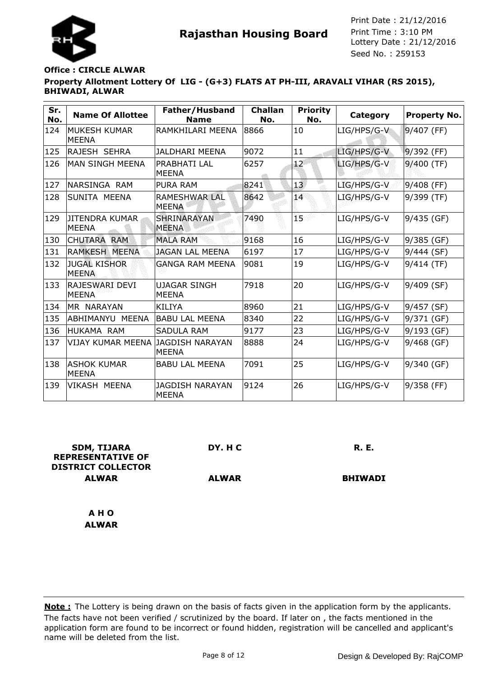

# **Office : CIRCLE ALWAR**

#### **Property Allotment Lottery Of LIG - (G+3) FLATS AT PH-III, ARAVALI VIHAR (RS 2015), BHIWADI, ALWAR**

| Sr.<br>No. | <b>Name Of Allottee</b>             | Father/Husband<br><b>Name</b>          | <b>Challan</b><br>No. | <b>Priority</b><br>No. | Category    | <b>Property No.</b> |
|------------|-------------------------------------|----------------------------------------|-----------------------|------------------------|-------------|---------------------|
| 124        | <b>MUKESH KUMAR</b><br><b>MEENA</b> | RAMKHILARI MEENA                       | 8866                  | 10                     | LIG/HPS/G-V | 9/407 (FF)          |
| 125        | lRAJESH SEHRA                       | <b>JALDHARI MEENA</b>                  | 9072                  | 11                     | LIG/HPS/G-V | $9/392$ (FF)        |
| 126        | <b>MAN SINGH MEENA</b>              | PRABHATI LAL<br><b>MEENA</b>           | 6257                  | $\pm 2$                | LIG/HPS/G-V | $9/400$ (TF)        |
| 127        | NARSINGA RAM                        | <b>PURA RAM</b>                        | 8241                  | 13 <sup>°</sup>        | LIG/HPS/G-V | 9/408 (FF)          |
| 128        | SUNITA MEENA                        | RAMESHWAR LAL<br><b>MEENA</b>          | 8642                  | $14^{\circ}$           | LIG/HPS/G-V | 9/399 (TF)          |
| 129        | IJITENDRA KUMAR<br><b>MEENA</b>     | <b>SHRINARAYAN</b><br><b>MEENA</b>     | 7490                  | 15:                    | LIG/HPS/G-V | 9/435 (GF)          |
| 130        | <b>CHUTARA RAM</b>                  | <b>MALA RAM</b>                        | 9168                  | 16                     | LIG/HPS/G-V | 9/385 (GF)          |
| 131        | RAMKESH MEENA                       | <b>JAGAN LAL MEENA</b>                 | 6197                  | 17                     | LIG/HPS/G-V | 9/444 (SF)          |
| 132        | <b>JUGAL KISHOR</b><br><b>MEENA</b> | <b>GANGA RAM MEENA</b>                 | 9081                  | 19                     | LIG/HPS/G-V | $9/414$ (TF)        |
| 133        | RAJESWARI DEVI<br><b>MEENA</b>      | <b>UJAGAR SINGH</b><br><b>MEENA</b>    | 7918                  | 20                     | LIG/HPS/G-V | 9/409 (SF)          |
| 134        | MR NARAYAN                          | <b>KILIYA</b>                          | 8960                  | 21                     | LIG/HPS/G-V | 9/457 (SF)          |
| 135        | ABHIMANYU MEENA                     | <b>BABU LAL MEENA</b>                  | 8340                  | 22                     | LIG/HPS/G-V | 9/371 (GF)          |
| 136        | HUKAMA RAM                          | <b>SADULA RAM</b>                      | 9177                  | 23                     | LIG/HPS/G-V | 9/193 (GF)          |
| 137        | <b>VIJAY KUMAR MEENA</b>            | <b>JAGDISH NARAYAN</b><br><b>MEENA</b> | 8888                  | 24                     | LIG/HPS/G-V | 9/468 (GF)          |
| 138        | <b>IASHOK KUMAR</b><br><b>MEENA</b> | <b>BABU LAL MEENA</b>                  | 7091                  | 25                     | LIG/HPS/G-V | 9/340 (GF)          |
| 139        | VIKASH MEENA                        | JAGDISH NARAYAN<br><b>MEENA</b>        | 9124                  | 26                     | LIG/HPS/G-V | $9/358$ (FF)        |

| <b>SDM, TIJARA</b><br><b>REPRESENTATIVE OF</b><br><b>DISTRICT COLLECTOR</b> | DY. H C      | <b>R. E.</b>   |
|-----------------------------------------------------------------------------|--------------|----------------|
| <b>ALWAR</b>                                                                | <b>ALWAR</b> | <b>BHIWADI</b> |
|                                                                             |              |                |
| AHO                                                                         |              |                |
| <b>ALWAR</b>                                                                |              |                |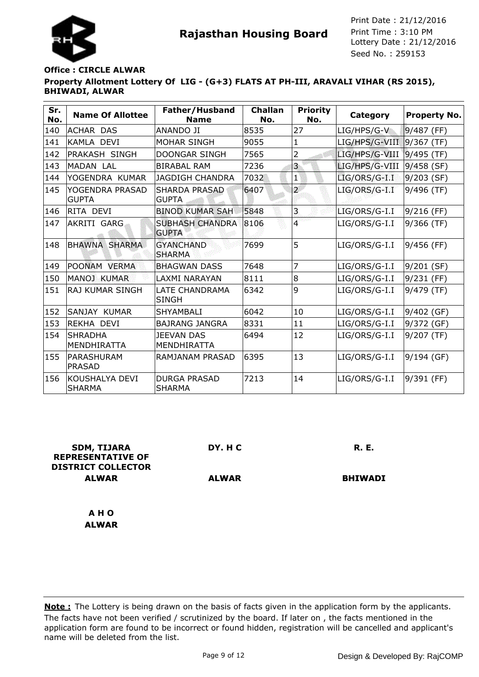



## **Property Allotment Lottery Of LIG - (G+3) FLATS AT PH-III, ARAVALI VIHAR (RS 2015), BHIWADI, ALWAR Office : CIRCLE ALWAR**

| Sr.<br>No. | <b>Name Of Allottee</b>         | Father/Husband<br><b>Name</b>           | <b>Challan</b><br>No. | <b>Priority</b><br>No. | Category       | <b>Property No.</b> |
|------------|---------------------------------|-----------------------------------------|-----------------------|------------------------|----------------|---------------------|
| 140        | <b>ACHAR DAS</b>                | <b>ANANDO JI</b>                        | 8535                  | 27                     | LIG/HPS/G-V    | $9/487$ (FF)        |
| 141        | KAMLA DEVI                      | <b>MOHAR SINGH</b>                      | 9055                  | 1                      | LIG/HPS/G-VIII | 9/367 (TF)          |
| 142        | PRAKASH SINGH                   | <b>DOONGAR SINGH</b>                    | 7565                  | 2                      | LIG/HPS/G-VIII | 9/495 (TF)          |
| 143        | MADAN LAL                       | <b>BIRABAL RAM</b>                      | 7236                  | 3                      | LIG/HPS/G-VIII | $9/458$ (SF)        |
| 144        | YOGENDRA KUMAR                  | <b>JAGDIGH CHANDRA</b>                  | 7032                  | 1                      | LIG/ORS/G-I.I  | $9/203$ (SF)        |
| 145        | YOGENDRA PRASAD<br><b>GUPTA</b> | <b>SHARDA PRASAD</b><br><b>GUPTA</b>    | 6407                  | $\overline{2}$         | LIG/ORS/G-I.I  | 9/496 (TF)          |
| 146        | IRITA DEVI                      | <b>BINOD KUMAR SAH</b>                  | 5848                  | 3                      | LIG/ORS/G-I.I  | $9/216$ (FF)        |
| 147        | AKRITI GARG                     | <b>SUBHASH CHANDRA</b><br><b>GUPTA</b>  | 8106                  | $\overline{4}$         | LIG/ORS/G-I.I  | $9/366$ (TF)        |
| 148        | BHAWNA SHARMA                   | <b>GYANCHAND</b><br><b>SHARMA</b>       | 7699                  | 5                      | LIG/ORS/G-I.I  | 9/456 (FF)          |
| 149        | POONAM VERMA                    | <b>BHAGWAN DASS</b>                     | 7648                  | $\overline{7}$         | LIG/ORS/G-I.I  | 9/201 (SF)          |
| 150        | MANOJ KUMAR                     | LAXMI NARAYAN                           | 8111                  | 8                      | LIG/ORS/G-I.I  | $9/231$ (FF)        |
| 151        | <b>RAJ KUMAR SINGH</b>          | LATE CHANDRAMA<br><b>SINGH</b>          | 6342                  | 9                      | LIG/ORS/G-I.I  | 9/479 (TF)          |
| 152        | SANJAY KUMAR                    | <b>SHYAMBALI</b>                        | 6042                  | 10                     | LIG/ORS/G-I.I  | 9/402 (GF)          |
| 153        | REKHA DEVI                      | <b>BAJRANG JANGRA</b>                   | 8331                  | 11                     | LIG/ORS/G-I.I  | 9/372 (GF)          |
| 154        | <b>SHRADHA</b><br>MENDHIRATTA   | <b>JEEVAN DAS</b><br><b>MENDHIRATTA</b> | 6494                  | 12                     | LIG/ORS/G-I.I  | $9/207$ (TF)        |
| 155        | IPARASHURAM<br><b>PRASAD</b>    | RAMJANAM PRASAD                         | 6395                  | 13                     | LIG/ORS/G-I.I  | 9/194 (GF)          |
| 156        | KOUSHALYA DEVI<br><b>SHARMA</b> | <b>DURGA PRASAD</b><br><b>SHARMA</b>    | 7213                  | 14                     | LIG/ORS/G-I.I  | 9/391 (FF)          |

| <b>SDM, TIJARA</b><br><b>REPRESENTATIVE OF</b><br><b>DISTRICT COLLECTOR</b> | DY. H C      | <b>R. E.</b>   |
|-----------------------------------------------------------------------------|--------------|----------------|
| <b>ALWAR</b>                                                                | <b>ALWAR</b> | <b>BHIWADI</b> |
| A H O                                                                       |              |                |
| <b>ALWAR</b>                                                                |              |                |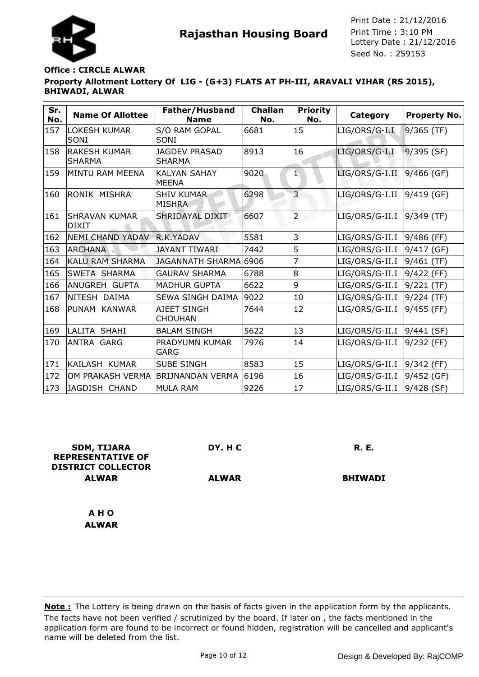

### **Property Allotment Lottery Of LIG - (G+3) FLATS AT PH-III, ARAVALI VIHAR (RS 2015), BHIWADI, ALWAR Office : CIRCLE ALWAR**

| Sr.<br>No. | <b>Name Of Allottee</b>              | Father/Husband<br><b>Name</b>         | <b>Challan</b><br>No. | <b>Priority</b><br>No.  | Category       | Property No.  |
|------------|--------------------------------------|---------------------------------------|-----------------------|-------------------------|----------------|---------------|
| 157        | LOKESH KUMAR<br>SONI                 | S/O RAM GOPAL<br>SONI                 | 6681                  | 15                      | LIG/ORS/G-I.I  | $9/365$ (TF)  |
| 158        | <b>RAKESH KUMAR</b><br><b>SHARMA</b> | <b>JAGDEV PRASAD</b><br><b>SHARMA</b> | 8913                  | 16                      | LIG/ORS/G-I.I  | $9/395$ (SF)  |
| 159        | MINTU RAM MEENA                      | <b>KALYAN SAHAY</b><br><b>MEENA</b>   | 9020                  | 1                       | LIG/ORS/G-I.II | 9/466 (GF)    |
| 160        | RONIK MISHRA                         | <b>SHIV KUMAR</b><br><b>MISHRA</b>    | 6298                  | $\overline{\mathbf{3}}$ | LIG/ORS/G-I.II | 9/419 (GF)    |
| 161        | <b>SHRAVAN KUMAR</b><br><b>DIXIT</b> | SHRIDAYAL DIXIT                       | 6607                  | $\overline{2}$          | LIG/ORS/G-II.I | $9/349$ (TF)  |
| 162        | <b>NEMI CHAND YADAV</b>              | <b>R.K.YADAV</b>                      | 5581                  | 3                       | LIG/ORS/G-II.I | 9/486 (FF)    |
| 163        | ARCHANA.                             | <b>JAYANT TIWARI</b>                  | 7442                  | 5                       | LIG/ORS/G-II.I | 9/417 (GF)    |
| 164        | <b>KALU RAM SHARMA</b>               | <b>JAGANNATH SHARMA</b>               | 6906                  | 7                       | LIG/ORS/G-II.I | 9/461 (TF)    |
| 165        | <b>SWETA SHARMA</b>                  | <b>GAURAV SHARMA</b>                  | 6788                  | 8                       | LIG/ORS/G-II.I | 9/422 (FF)    |
| 166        | ANUGREH GUPTA                        | <b>MADHUR GUPTA</b>                   | 6622                  | 9                       | LIG/ORS/G-II.I | 9/221 (TF)    |
| 167        | NITESH DAIMA                         | <b>SEWA SINGH DAIMA</b>               | 9022                  | 10                      | LIG/ORS/G-II.I | 9/224 (TF)    |
| 168        | PUNAM KANWAR                         | AJEET SINGH<br><b>CHOUHAN</b>         | 7644                  | 12                      | LIG/ORS/G-II.I | 9/455 (FF)    |
| 169        | LALITA SHAHI                         | <b>BALAM SINGH</b>                    | 5622                  | 13                      | LIG/ORS/G-II.I | $ 9/441$ (SF) |
| 170        | ANTRA GARG                           | PRADYUMN KUMAR<br><b>GARG</b>         | 7976                  | 14                      | LIG/ORS/G-II.I | 9/232 (FF)    |
| 171        | KAILASH KUMAR                        | <b>SUBE SINGH</b>                     | 8583                  | 15                      | LIG/ORS/G-II.I | $ 9/342$ (FF) |
| 172        | OM PRAKASH VERMA                     | BRIJNANDAN VERMA                      | 6196                  | 16                      | LIG/ORS/G-II.I | 9/452 (GF)    |
| 173        | JAGDISH CHAND                        | <b>MULA RAM</b>                       | 9226                  | 17                      | LIG/ORS/G-II.I | 9/428 (SF)    |

| <b>SDM, TIJARA</b><br><b>REPRESENTATIVE OF</b><br><b>DISTRICT COLLECTOR</b> | DY. H C      | <b>R. E.</b>   |
|-----------------------------------------------------------------------------|--------------|----------------|
| <b>ALWAR</b>                                                                | <b>ALWAR</b> | <b>BHIWADI</b> |
| AHO                                                                         |              |                |
| <b>ALWAR</b>                                                                |              |                |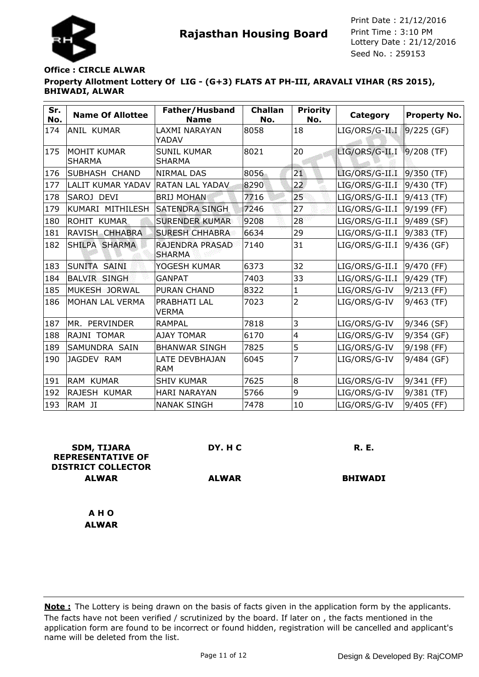

### **Property Allotment Lottery Of LIG - (G+3) FLATS AT PH-III, ARAVALI VIHAR (RS 2015), BHIWADI, ALWAR Office : CIRCLE ALWAR**

| Sr.<br>No. | <b>Name Of Allottee</b>      | Father/Husband<br><b>Name</b>           | <b>Challan</b><br>No. | <b>Priority</b><br>No. | Category       | <b>Property No.</b> |
|------------|------------------------------|-----------------------------------------|-----------------------|------------------------|----------------|---------------------|
| 174        | <b>ANIL KUMAR</b>            | LAXMI NARAYAN<br>YADAV                  | 8058                  | 18                     | LIG/ORS/G-II.I | $9/225$ (GF)        |
| 175        | MOHIT KUMAR<br><b>SHARMA</b> | <b>SUNIL KUMAR</b><br><b>SHARMA</b>     | 8021                  | 20                     | LIG/ORS/G-II.I | $9/208$ (TF)        |
| 176        | SUBHASH CHAND                | <b>NIRMAL DAS</b>                       | 8056                  | 21                     | LIG/ORS/G-II.I | $9/350$ (TF)        |
| 177        | <b>LALIT KUMAR YADAV</b>     | <b>RATAN LAL YADAV</b>                  | 8290                  | 22                     | LIG/ORS/G-II.I | $9/430$ (TF)        |
| 178        | SAROJ DEVI                   | <b>BRIJ MOHAN</b>                       | 7716                  | 25                     | LIG/ORS/G-II.I | $ 9/413$ (TF)       |
| 179        | KUMARI MITHILESH             | <b>SATENDRA SINGH</b>                   | 7246                  | 27                     | LIG/ORS/G-II.I | $9/199$ (FF)        |
| 180        | <b>ROHIT KUMAR</b>           | <b>SURENDER KUMAR</b>                   | 9208                  | 28                     | LIG/ORS/G-II.I | 9/489 (SF)          |
| 181        | RAVISH CHHABRA               | <b>SURESH CHHABRA</b>                   | 6634                  | 29                     | LIG/ORS/G-II.I | $9/383$ (TF)        |
| 182        | SHILPA SHARMA                | <b>RAJENDRA PRASAD</b><br><b>SHARMA</b> | 7140                  | 31                     | LIG/ORS/G-II.I | 9/436 (GF)          |
| 183        | <b>SUNITA SAINI</b>          | YOGESH KUMAR                            | 6373                  | 32                     | LIG/ORS/G-II.I | $9/470$ (FF)        |
| 184        | <b>BALVIR SINGH</b>          | <b>GANPAT</b>                           | 7403                  | 33                     | LIG/ORS/G-II.I | 9/429 (TF)          |
| 185        | MUKESH JORWAL                | <b>PURAN CHAND</b>                      | 8322                  | 1                      | LIG/ORS/G-IV   | $9/213$ (FF)        |
| 186        | MOHAN LAL VERMA              | PRABHATI LAL<br><b>VERMA</b>            | 7023                  | $\overline{2}$         | LIG/ORS/G-IV   | 9/463 (TF)          |
| 187        | IMR. PERVINDER               | <b>RAMPAL</b>                           | 7818                  | 3                      | LIG/ORS/G-IV   | 9/346 (SF)          |
| 188        | RAJNI TOMAR                  | <b>AJAY TOMAR</b>                       | 6170                  | $\overline{4}$         | LIG/ORS/G-IV   | 9/354 (GF)          |
| 189        | SAMUNDRA SAIN                | <b>BHANWAR SINGH</b>                    | 7825                  | 5                      | LIG/ORS/G-IV   | $9/198$ (FF)        |
| 190        | JAGDEV RAM                   | LATE DEVBHAJAN<br><b>RAM</b>            | 6045                  | 7                      | LIG/ORS/G-IV   | 9/484 (GF)          |
| 191        | RAM KUMAR                    | <b>SHIV KUMAR</b>                       | 7625                  | 8                      | LIG/ORS/G-IV   | 9/341 (FF)          |
| 192        | RAJESH KUMAR                 | <b>HARI NARAYAN</b>                     | 5766                  | 9                      | LIG/ORS/G-IV   | 9/381 (TF)          |
| 193        | RAM JI                       | <b>NANAK SINGH</b>                      | 7478                  | 10                     | LIG/ORS/G-IV   | 9/405 (FF)          |

| <b>SDM, TIJARA</b><br><b>REPRESENTATIVE OF</b><br><b>DISTRICT COLLECTOR</b> | DY. H C      | <b>R. E.</b>   |
|-----------------------------------------------------------------------------|--------------|----------------|
| <b>ALWAR</b>                                                                | <b>ALWAR</b> | <b>BHIWADI</b> |
| A H O                                                                       |              |                |
| <b>ALWAR</b>                                                                |              |                |